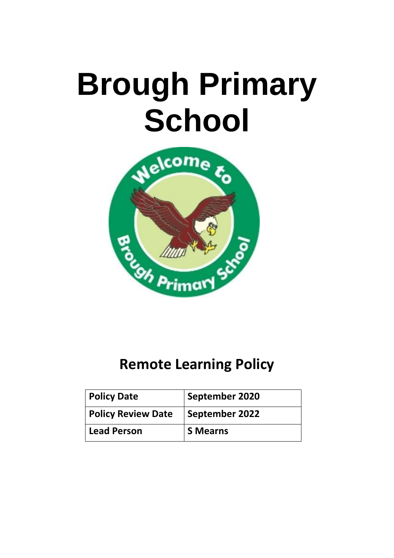# **Brough Primary School**



# **Remote Learning Policy**

| <b>Policy Date</b>        | September 2020  |
|---------------------------|-----------------|
| <b>Policy Review Date</b> | September 2022  |
| <b>Lead Person</b>        | <b>S</b> Mearns |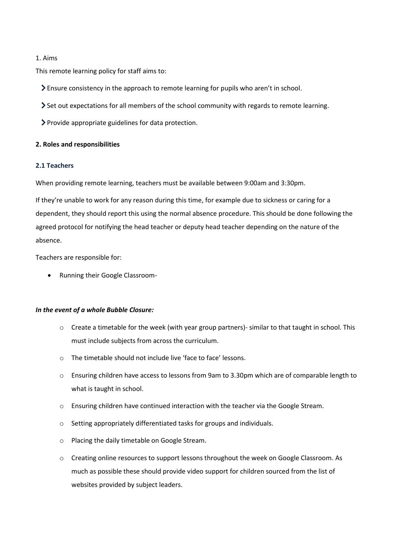#### 1. Aims

This remote learning policy for staff aims to:

- Ensure consistency in the approach to remote learning for pupils who aren't in school.
- $\geq$  Set out expectations for all members of the school community with regards to remote learning.
- Provide appropriate guidelines for data protection.

#### **2. Roles and responsibilities**

#### **2.1 Teachers**

When providing remote learning, teachers must be available between 9:00am and 3:30pm.

If they're unable to work for any reason during this time, for example due to sickness or caring for a dependent, they should report this using the normal absence procedure. This should be done following the agreed protocol for notifying the head teacher or deputy head teacher depending on the nature of the absence.

Teachers are responsible for:

• Running their Google Classroom-

#### *In the event of a whole Bubble Closure:*

- $\circ$  Create a timetable for the week (with year group partners)- similar to that taught in school. This must include subjects from across the curriculum.
- o The timetable should not include live 'face to face' lessons.
- o Ensuring children have access to lessons from 9am to 3.30pm which are of comparable length to what is taught in school.
- o Ensuring children have continued interaction with the teacher via the Google Stream.
- o Setting appropriately differentiated tasks for groups and individuals.
- o Placing the daily timetable on Google Stream.
- o Creating online resources to support lessons throughout the week on Google Classroom. As much as possible these should provide video support for children sourced from the list of websites provided by subject leaders.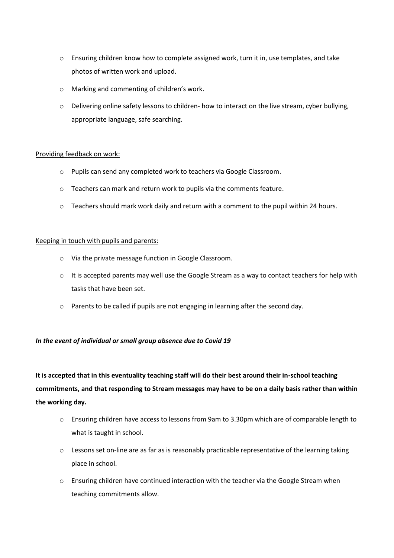- o Ensuring children know how to complete assigned work, turn it in, use templates, and take photos of written work and upload.
- o Marking and commenting of children's work.
- $\circ$  Delivering online safety lessons to children- how to interact on the live stream, cyber bullying, appropriate language, safe searching.

# Providing feedback on work:

- o Pupils can send any completed work to teachers via Google Classroom.
- o Teachers can mark and return work to pupils via the comments feature.
- o Teachers should mark work daily and return with a comment to the pupil within 24 hours.

# Keeping in touch with pupils and parents:

- o Via the private message function in Google Classroom.
- o It is accepted parents may well use the Google Stream as a way to contact teachers for help with tasks that have been set.
- o Parents to be called if pupils are not engaging in learning after the second day.

# *In the event of individual or small group absence due to Covid 19*

**It is accepted that in this eventuality teaching staff will do their best around their in-school teaching commitments, and that responding to Stream messages may have to be on a daily basis rather than within the working day.**

- o Ensuring children have access to lessons from 9am to 3.30pm which are of comparable length to what is taught in school.
- o Lessons set on-line are as far as is reasonably practicable representative of the learning taking place in school.
- o Ensuring children have continued interaction with the teacher via the Google Stream when teaching commitments allow.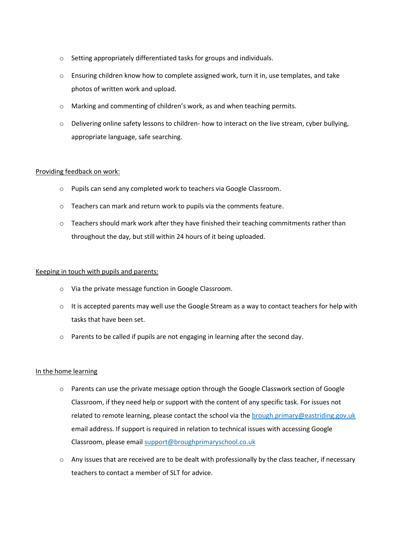- o Setting appropriately differentiated tasks for groups and individuals.
- o Ensuring children know how to complete assigned work, turn it in, use templates, and take photos of written work and upload.
- $\circ$  Marking and commenting of children's work, as and when teaching permits.
- o Delivering online safety lessons to children- how to interact on the live stream, cyber bullying, appropriate language, safe searching.

# Providing feedback on work:

- o Pupils can send any completed work to teachers via Google Classroom.
- o Teachers can mark and return work to pupils via the comments feature.
- $\circ$  Teachers should mark work after they have finished their teaching commitments rather than throughout the day, but still within 24 hours of it being uploaded.

#### Keeping in touch with pupils and parents:

- o Via the private message function in Google Classroom.
- $\circ$  It is accepted parents may well use the Google Stream as a way to contact teachers for help with tasks that have been set.
- o Parents to be called if pupils are not engaging in learning after the second day.

#### In the home learning

- o Parents can use the private message option through the Google Classwork section of Google Classroom, if they need help or support with the content of any specific task. For issues not related to remote learning, please contact the school via the [brough.primary@eastriding.gov.uk](mailto:brough.primary@eastriding.gov.uk) email address. If support is required in relation to technical issues with accessing Google Classroom, please email [support@broughprimaryschool.co.uk](mailto:support@broughprimaryschool.co.uk)
- $\circ$  Any issues that are received are to be dealt with professionally by the class teacher, if necessary teachers to contact a member of SLT for advice.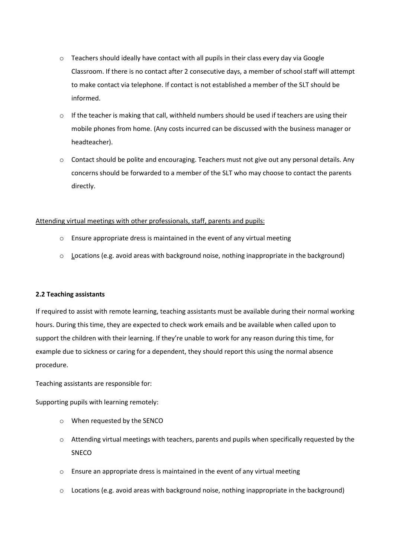- o Teachers should ideally have contact with all pupils in their class every day via Google Classroom. If there is no contact after 2 consecutive days, a member of school staff will attempt to make contact via telephone. If contact is not established a member of the SLT should be informed.
- $\circ$  If the teacher is making that call, withheld numbers should be used if teachers are using their mobile phones from home. (Any costs incurred can be discussed with the business manager or headteacher).
- o Contact should be polite and encouraging. Teachers must not give out any personal details. Any concerns should be forwarded to a member of the SLT who may choose to contact the parents directly.

#### Attending virtual meetings with other professionals, staff, parents and pupils:

- o Ensure appropriate dress is maintained in the event of any virtual meeting
- $\circ$  Locations (e.g. avoid areas with background noise, nothing inappropriate in the background)

#### **2.2 Teaching assistants**

If required to assist with remote learning, teaching assistants must be available during their normal working hours. During this time, they are expected to check work emails and be available when called upon to support the children with their learning. If they're unable to work for any reason during this time, for example due to sickness or caring for a dependent, they should report this using the normal absence procedure.

Teaching assistants are responsible for:

Supporting pupils with learning remotely:

- o When requested by the SENCO
- o Attending virtual meetings with teachers, parents and pupils when specifically requested by the SNECO
- o Ensure an appropriate dress is maintained in the event of any virtual meeting
- $\circ$  Locations (e.g. avoid areas with background noise, nothing inappropriate in the background)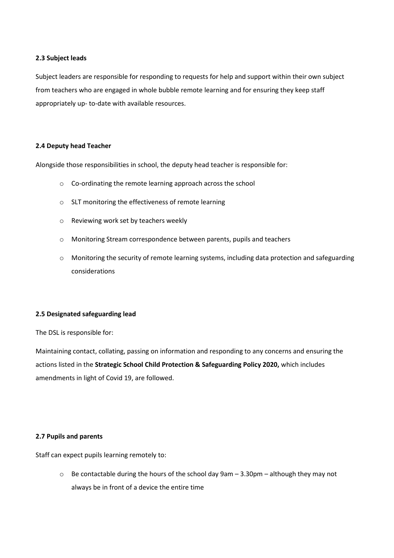#### **2.3 Subject leads**

Subject leaders are responsible for responding to requests for help and support within their own subject from teachers who are engaged in whole bubble remote learning and for ensuring they keep staff appropriately up- to-date with available resources.

# **2.4 Deputy head Teacher**

Alongside those responsibilities in school, the deputy head teacher is responsible for:

- o Co-ordinating the remote learning approach across the school
- o SLT monitoring the effectiveness of remote learning
- o Reviewing work set by teachers weekly
- o Monitoring Stream correspondence between parents, pupils and teachers
- o Monitoring the security of remote learning systems, including data protection and safeguarding considerations

#### **2.5 Designated safeguarding lead**

The DSL is responsible for:

Maintaining contact, collating, passing on information and responding to any concerns and ensuring the actions listed in the **Strategic School Child Protection & Safeguarding Policy 2020,** which includes amendments in light of Covid 19, are followed.

#### **2.7 Pupils and parents**

Staff can expect pupils learning remotely to:

o Be contactable during the hours of the school day 9am – 3.30pm – although they may not always be in front of a device the entire time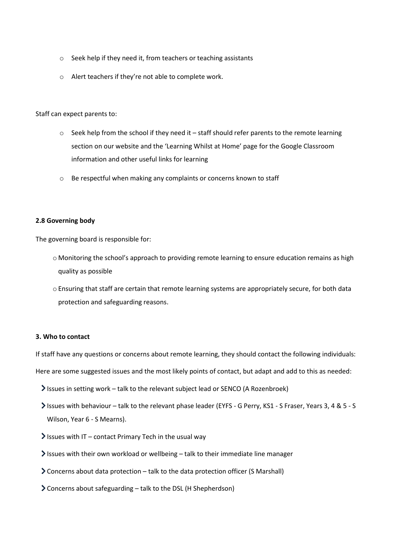- o Seek help if they need it, from teachers or teaching assistants
- o Alert teachers if they're not able to complete work.

Staff can expect parents to:

- $\circ$  Seek help from the school if they need it staff should refer parents to the remote learning section on our website and the 'Learning Whilst at Home' page for the Google Classroom information and other useful links for learning
- o Be respectful when making any complaints or concerns known to staff

#### **2.8 Governing body**

The governing board is responsible for:

- o Monitoring the school's approach to providing remote learning to ensure education remains as high quality as possible
- o Ensuring that staff are certain that remote learning systems are appropriately secure, for both data protection and safeguarding reasons.

#### **3. Who to contact**

If staff have any questions or concerns about remote learning, they should contact the following individuals:

Here are some suggested issues and the most likely points of contact, but adapt and add to this as needed:

- Issues in setting work talk to the relevant subject lead or SENCO (A Rozenbroek)
- Issues with behaviour talk to the relevant phase leader (EYFS G Perry, KS1 S Fraser, Years 3, 4 & 5 S Wilson, Year 6 - S Mearns).
- $\blacktriangleright$  Issues with IT contact Primary Tech in the usual way
- $\ge$  Issues with their own workload or wellbeing talk to their immediate line manager
- Concerns about data protection talk to the data protection officer (S Marshall)
- Concerns about safeguarding talk to the DSL (H Shepherdson)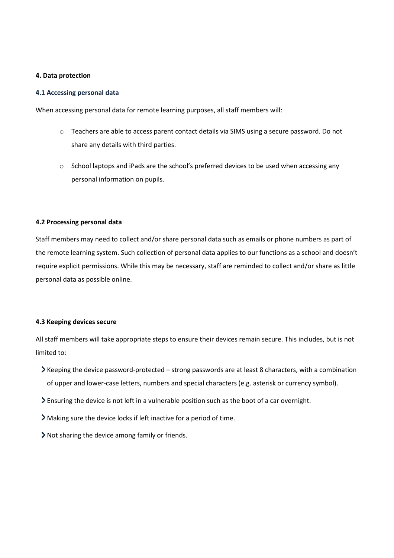#### **4. Data protection**

#### **4.1 Accessing personal data**

When accessing personal data for remote learning purposes, all staff members will:

- o Teachers are able to access parent contact details via SIMS using a secure password. Do not share any details with third parties.
- o School laptops and iPads are the school's preferred devices to be used when accessing any personal information on pupils.

#### **4.2 Processing personal data**

Staff members may need to collect and/or share personal data such as emails or phone numbers as part of the remote learning system. Such collection of personal data applies to our functions as a school and doesn't require explicit permissions. While this may be necessary, staff are reminded to collect and/or share as little personal data as possible online.

#### **4.3 Keeping devices secure**

All staff members will take appropriate steps to ensure their devices remain secure. This includes, but is not limited to:

- $\blacktriangleright$  Keeping the device password-protected strong passwords are at least 8 characters, with a combination of upper and lower-case letters, numbers and special characters (e.g. asterisk or currency symbol).
- Ensuring the device is not left in a vulnerable position such as the boot of a car overnight.
- Making sure the device locks if left inactive for a period of time.
- Not sharing the device among family or friends.